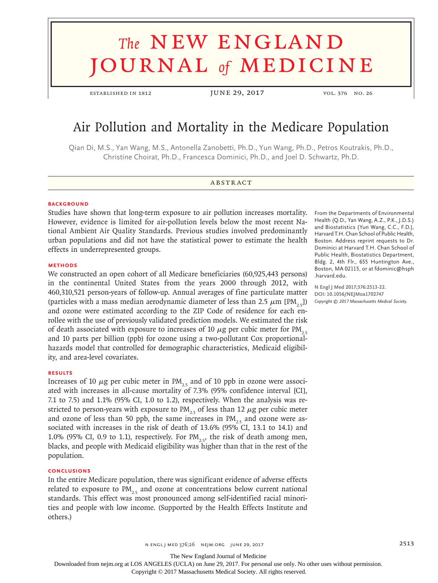# **The NEW ENGLAND** journal *of* medicine

established in 1812 JUNE 29, 2017 vol. 376 no. 26

# Air Pollution and Mortality in the Medicare Population

Qian Di, M.S., Yan Wang, M.S., Antonella Zanobetti, Ph.D., Yun Wang, Ph.D., Petros Koutrakis, Ph.D., Christine Choirat, Ph.D., Francesca Dominici, Ph.D., and Joel D. Schwartz, Ph.D.

# **ABSTRACT**

#### **BACKGROUND**

Studies have shown that long-term exposure to air pollution increases mortality. However, evidence is limited for air-pollution levels below the most recent National Ambient Air Quality Standards. Previous studies involved predominantly urban populations and did not have the statistical power to estimate the health effects in underrepresented groups.

#### **METHODS**

We constructed an open cohort of all Medicare beneficiaries (60,925,443 persons) in the continental United States from the years 2000 through 2012, with 460,310,521 person-years of follow-up. Annual averages of fine particulate matter (particles with a mass median aerodynamic diameter of less than 2.5  $\mu$ m [PM<sub>25</sub>]) and ozone were estimated according to the ZIP Code of residence for each enrollee with the use of previously validated prediction models. We estimated the risk of death associated with exposure to increases of 10  $\mu$ g per cubic meter for PM<sub>2.5</sub> and 10 parts per billion (ppb) for ozone using a two-pollutant Cox proportionalhazards model that controlled for demographic characteristics, Medicaid eligibility, and area-level covariates.

#### **RESULTS**

Increases of 10  $\mu$ g per cubic meter in PM<sub>25</sub> and of 10 ppb in ozone were associated with increases in all-cause mortality of 7.3% (95% confidence interval [CI], 7.1 to 7.5) and 1.1% (95% CI, 1.0 to 1.2), respectively. When the analysis was restricted to person-years with exposure to  $PM_{2.5}$  of less than 12  $\mu$ g per cubic meter and ozone of less than 50 ppb, the same increases in  $PM_{25}$  and ozone were associated with increases in the risk of death of 13.6% (95% CI, 13.1 to 14.1) and 1.0% (95% CI, 0.9 to 1.1), respectively. For  $PM$ <sub>, s</sub>, the risk of death among men, blacks, and people with Medicaid eligibility was higher than that in the rest of the population.

## **CONCLUSIONS**

In the entire Medicare population, there was significant evidence of adverse effects related to exposure to  $PM_{25}$  and ozone at concentrations below current national standards. This effect was most pronounced among self-identified racial minorities and people with low income. (Supported by the Health Effects Institute and others.)

From the Departments of Environmental Health (Q.D., Yan Wang, A.Z., P.K., J.D.S.) and Biostatistics (Yun Wang, C.C., F.D.), Harvard T.H. Chan School of Public Health, Boston. Address reprint requests to Dr. Dominici at Harvard T.H. Chan School of Public Health, Biostatistics Department, Bldg. 2, 4th Flr., 655 Huntington Ave., Boston, MA 02115, or at fdominic@hsph .harvard.edu.

**N Engl J Med 2017;376:2513-22. DOI: 10.1056/NEJMoa1702747** *Copyright © 2017 Massachusetts Medical Society.*

The New England Journal of Medicine

Downloaded from nejm.org at LOS ANGELES (UCLA) on June 29, 2017. For personal use only. No other uses without permission.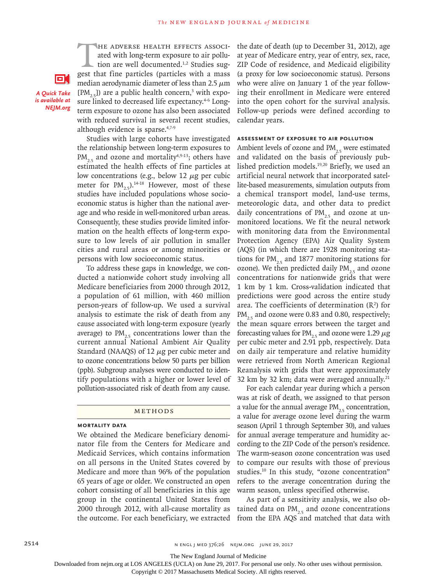HE ADVERSE HEALTH EFFECTS ASSOCI-<br>ated with long-term exposure to air pollu-<br>tion are well documented.<sup>1,2</sup> Studies sug-<br>gest that fine particles (particles with a mass ated with long-term exposure to air pollution are well documented.<sup>1,2</sup> Studies suggest that fine particles (particles with a mass median aerodynamic diameter of less than 2.5  $\mu$ m  $[PM<sub>2.5</sub>]$ ) are a public health concern,<sup>3</sup> with exposure linked to decreased life expectancy.<sup>4-6</sup> Longterm exposure to ozone has also been associated with reduced survival in several recent studies, although evidence is sparse.4,7-9

*A Quick Take is available at NEJM.org*

О.

Studies with large cohorts have investigated the relationship between long-term exposures to  $PM_{2.5}$  and ozone and mortality<sup>4,9-13</sup>; others have estimated the health effects of fine particles at low concentrations (e.g., below 12  $\mu$ g per cubic meter for  $PM_{2.5}$ ).<sup>14-18</sup> However, most of these studies have included populations whose socioeconomic status is higher than the national average and who reside in well-monitored urban areas. Consequently, these studies provide limited information on the health effects of long-term exposure to low levels of air pollution in smaller cities and rural areas or among minorities or persons with low socioeconomic status.

To address these gaps in knowledge, we conducted a nationwide cohort study involving all Medicare beneficiaries from 2000 through 2012, a population of 61 million, with 460 million person-years of follow-up. We used a survival analysis to estimate the risk of death from any cause associated with long-term exposure (yearly average) to  $PM_{25}$  concentrations lower than the current annual National Ambient Air Quality Standard (NAAQS) of 12  $\mu$ g per cubic meter and to ozone concentrations below 50 parts per billion (ppb). Subgroup analyses were conducted to identify populations with a higher or lower level of pollution-associated risk of death from any cause.

#### Methods

# **Mortality Data**

We obtained the Medicare beneficiary denominator file from the Centers for Medicare and Medicaid Services, which contains information on all persons in the United States covered by Medicare and more than 96% of the population 65 years of age or older. We constructed an open cohort consisting of all beneficiaries in this age group in the continental United States from 2000 through 2012, with all-cause mortality as the outcome. For each beneficiary, we extracted the date of death (up to December 31, 2012), age at year of Medicare entry, year of entry, sex, race, ZIP Code of residence, and Medicaid eligibility (a proxy for low socioeconomic status). Persons who were alive on January 1 of the year following their enrollment in Medicare were entered into the open cohort for the survival analysis. Follow-up periods were defined according to calendar years.

#### **Assessment of Exposure to Air Pollution**

Ambient levels of ozone and  $PM_{25}$  were estimated and validated on the basis of previously published prediction models.19,20 Briefly, we used an artificial neural network that incorporated satellite-based measurements, simulation outputs from a chemical transport model, land-use terms, meteorologic data, and other data to predict daily concentrations of  $PM_{25}$  and ozone at unmonitored locations. We fit the neural network with monitoring data from the Environmental Protection Agency (EPA) Air Quality System (AQS) (in which there are 1928 monitoring stations for  $PM_{25}$  and 1877 monitoring stations for ozone). We then predicted daily  $PM_{2.5}$  and ozone concentrations for nationwide grids that were 1 km by 1 km. Cross-validation indicated that predictions were good across the entire study area. The coefficients of determination  $(R^2)$  for  $PM_{2.5}$  and ozone were 0.83 and 0.80, respectively; the mean square errors between the target and forecasting values for  $PM_{25}$  and ozone were 1.29  $\mu$ g per cubic meter and 2.91 ppb, respectively. Data on daily air temperature and relative humidity were retrieved from North American Regional Reanalysis with grids that were approximately 32 km by 32 km; data were averaged annually.<sup>21</sup>

For each calendar year during which a person was at risk of death, we assigned to that person a value for the annual average  $PM_{25}$  concentration, a value for average ozone level during the warm season (April 1 through September 30), and values for annual average temperature and humidity according to the ZIP Code of the person's residence. The warm-season ozone concentration was used to compare our results with those of previous studies.10 In this study, "ozone concentration" refers to the average concentration during the warm season, unless specified otherwise.

As part of a sensitivity analysis, we also obtained data on  $PM_{25}$  and ozone concentrations from the EPA AQS and matched that data with

The New England Journal of Medicine

Downloaded from nejm.org at LOS ANGELES (UCLA) on June 29, 2017. For personal use only. No other uses without permission.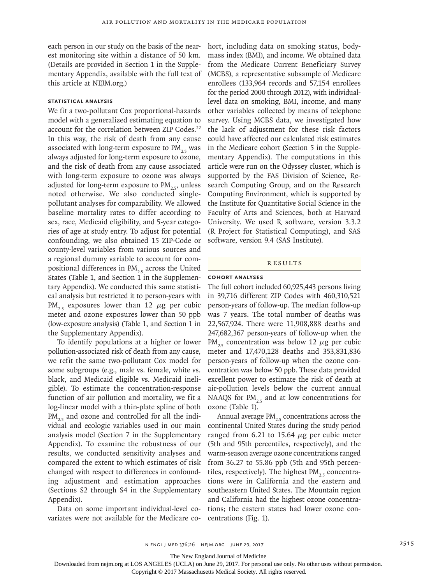each person in our study on the basis of the nearest monitoring site within a distance of 50 km. (Details are provided in Section 1 in the Supplementary Appendix, available with the full text of this article at NEJM.org.)

# **Statistical Analysis**

We fit a two-pollutant Cox proportional-hazards model with a generalized estimating equation to account for the correlation between ZIP Codes.<sup>22</sup> In this way, the risk of death from any cause associated with long-term exposure to  $PM_{25}$  was always adjusted for long-term exposure to ozone, and the risk of death from any cause associated with long-term exposure to ozone was always adjusted for long-term exposure to  $PM$ <sub>2.5</sub>, unless noted otherwise. We also conducted singlepollutant analyses for comparability. We allowed baseline mortality rates to differ according to sex, race, Medicaid eligibility, and 5-year categories of age at study entry. To adjust for potential confounding, we also obtained 15 ZIP-Code or county-level variables from various sources and a regional dummy variable to account for compositional differences in  $PM<sub>2.5</sub>$  across the United States (Table 1, and Section 1 in the Supplementary Appendix). We conducted this same statistical analysis but restricted it to person-years with  $PM_{2.5}$  exposures lower than 12  $\mu$ g per cubic meter and ozone exposures lower than 50 ppb (low-exposure analysis) (Table 1, and Section 1 in the Supplementary Appendix).

To identify populations at a higher or lower pollution-associated risk of death from any cause, we refit the same two-pollutant Cox model for some subgroups (e.g., male vs. female, white vs. black, and Medicaid eligible vs. Medicaid ineligible). To estimate the concentration-response function of air pollution and mortality, we fit a log-linear model with a thin-plate spline of both  $PM_{25}$  and ozone and controlled for all the individual and ecologic variables used in our main analysis model (Section 7 in the Supplementary Appendix). To examine the robustness of our results, we conducted sensitivity analyses and compared the extent to which estimates of risk changed with respect to differences in confounding adjustment and estimation approaches (Sections S2 through S4 in the Supplementary Appendix).

Data on some important individual-level covariates were not available for the Medicare cohort, including data on smoking status, bodymass index (BMI), and income. We obtained data from the Medicare Current Beneficiary Survey (MCBS), a representative subsample of Medicare enrollees (133,964 records and 57,154 enrollees for the period 2000 through 2012), with individuallevel data on smoking, BMI, income, and many other variables collected by means of telephone survey. Using MCBS data, we investigated how the lack of adjustment for these risk factors could have affected our calculated risk estimates in the Medicare cohort (Section 5 in the Supplementary Appendix). The computations in this article were run on the Odyssey cluster, which is supported by the FAS Division of Science, Research Computing Group, and on the Research Computing Environment, which is supported by the Institute for Quantitative Social Science in the Faculty of Arts and Sciences, both at Harvard University. We used R software, version 3.3.2 (R Project for Statistical Computing), and SAS software, version 9.4 (SAS Institute).

#### **RESULTS**

## **Cohort Analyses**

The full cohort included 60,925,443 persons living in 39,716 different ZIP Codes with 460,310,521 person-years of follow-up. The median follow-up was 7 years. The total number of deaths was 22,567,924. There were 11,908,888 deaths and 247,682,367 person-years of follow-up when the  $PM_{25}$  concentration was below 12  $\mu$ g per cubic meter and 17,470,128 deaths and 353,831,836 person-years of follow-up when the ozone concentration was below 50 ppb. These data provided excellent power to estimate the risk of death at air-pollution levels below the current annual NAAQS for  $PM_{25}$  and at low concentrations for ozone (Table 1).

Annual average  $PM<sub>2.5</sub>$  concentrations across the continental United States during the study period ranged from 6.21 to 15.64  $\mu$ g per cubic meter (5th and 95th percentiles, respectively), and the warm-season average ozone concentrations ranged from 36.27 to 55.86 ppb (5th and 95th percentiles, respectively). The highest  $PM_{25}$  concentrations were in California and the eastern and southeastern United States. The Mountain region and California had the highest ozone concentrations; the eastern states had lower ozone concentrations (Fig. 1).

The New England Journal of Medicine

Downloaded from nejm.org at LOS ANGELES (UCLA) on June 29, 2017. For personal use only. No other uses without permission.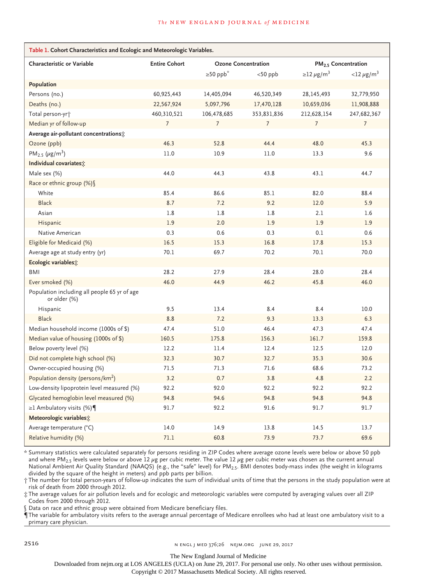| Table 1. Cohort Characteristics and Ecologic and Meteorologic Variables. |                      |                            |             |                                 |                          |  |
|--------------------------------------------------------------------------|----------------------|----------------------------|-------------|---------------------------------|--------------------------|--|
| <b>Characteristic or Variable</b>                                        | <b>Entire Cohort</b> | <b>Ozone Concentration</b> |             | PM <sub>2.5</sub> Concentration |                          |  |
|                                                                          |                      | $\geq 50$ ppb <sup>*</sup> | $<$ 50 ppb  | $\geq$ 12 µg/m <sup>3</sup>     | $<$ 12 µg/m <sup>3</sup> |  |
| Population                                                               |                      |                            |             |                                 |                          |  |
| Persons (no.)                                                            | 60,925,443           | 14,405,094                 | 46,520,349  | 28,145,493                      | 32,779,950               |  |
| Deaths (no.)                                                             | 22,567,924           | 5,097,796                  | 17,470,128  | 10,659,036                      | 11,908,888               |  |
| Total person-yr <sup>+</sup>                                             | 460,310,521          | 106,478,685                | 353,831,836 | 212,628,154                     | 247,682,367              |  |
| Median yr of follow-up                                                   | 7                    | 7                          | 7           | 7                               | 7                        |  |
| Average air-pollutant concentrations;                                    |                      |                            |             |                                 |                          |  |
| Ozone (ppb)                                                              | 46.3                 | 52.8                       | 44.4        | 48.0                            | 45.3                     |  |
| $PM_{2.5}$ (µg/m <sup>3</sup> )                                          | 11.0                 | 10.9                       | 11.0        | 13.3                            | 9.6                      |  |
| Individual covariates:                                                   |                      |                            |             |                                 |                          |  |
| Male sex (%)                                                             | 44.0                 | 44.3                       | 43.8        | 43.1                            | 44.7                     |  |
| Race or ethnic group (%) \                                               |                      |                            |             |                                 |                          |  |
| White                                                                    | 85.4                 | 86.6                       | 85.1        | 82.0                            | 88.4                     |  |
| <b>Black</b>                                                             | 8.7                  | 7.2                        | 9.2         | 12.0                            | 5.9                      |  |
| Asian                                                                    | 1.8                  | 1.8                        | 1.8         | 2.1                             | 1.6                      |  |
| Hispanic                                                                 | 1.9                  | 2.0                        | 1.9         | 1.9                             | 1.9                      |  |
| Native American                                                          | 0.3                  | 0.6                        | 0.3         | 0.1                             | 0.6                      |  |
| Eligible for Medicaid (%)                                                | 16.5                 | 15.3                       | 16.8        | 17.8                            | 15.3                     |  |
| Average age at study entry (yr)                                          | 70.1                 | 69.7                       | 70.2        | 70.1                            | 70.0                     |  |
| Ecologic variables;                                                      |                      |                            |             |                                 |                          |  |
| <b>BMI</b>                                                               | 28.2                 | 27.9                       | 28.4        | 28.0                            | 28.4                     |  |
| Ever smoked (%)                                                          | 46.0                 | 44.9                       | 46.2        | 45.8                            | 46.0                     |  |
| Population including all people 65 yr of age<br>or older (%)             |                      |                            |             |                                 |                          |  |
| Hispanic                                                                 | 9.5                  | 13.4                       | 8.4         | 8.4                             | 10.0                     |  |
| <b>Black</b>                                                             | 8.8                  | 7.2                        | 9.3         | 13.3                            | 6.3                      |  |
| Median household income (1000s of \$)                                    | 47.4                 | 51.0                       | 46.4        | 47.3                            | 47.4                     |  |
| Median value of housing $(1000s$ of \$)                                  | 160.5                | 175.8                      | 156.3       | 161.7                           | 159.8                    |  |
| Below poverty level (%)                                                  | 12.2                 | 11.4                       | 12.4        | 12.5                            | 12.0                     |  |
| Did not complete high school (%)                                         | 32.3                 | 30.7                       | 32.7        | 35.3                            | 30.6                     |  |
| Owner-occupied housing (%)                                               | 71.5                 | 71.3                       | 71.6        | 68.6                            | 73.2                     |  |
| Population density (persons/km <sup>2</sup> )                            | 3.2                  | 0.7                        | 3.8         | 4.8                             | 2.2                      |  |
| Low-density lipoprotein level measured (%)                               | 92.2                 | 92.0                       | 92.2        | 92.2                            | 92.2                     |  |
| Glycated hemoglobin level measured (%)                                   | 94.8                 | 94.6                       | 94.8        | 94.8                            | 94.8                     |  |
| $\geq$ 1 Ambulatory visits (%)                                           | 91.7                 | 92.2                       | 91.6        | 91.7                            | 91.7                     |  |
| Meteorologic variables:                                                  |                      |                            |             |                                 |                          |  |
| Average temperature (°C)                                                 | 14.0                 | 14.9                       | 13.8        | 14.5                            | 13.7                     |  |
| Relative humidity (%)                                                    | 71.1                 | 60.8                       | 73.9        | 73.7                            | 69.6                     |  |

\* Summary statistics were calculated separately for persons residing in ZIP Codes where average ozone levels were below or above 50 ppb and where PM<sub>2.5</sub> levels were below or above 12  $\mu$ g per cubic meter. The value 12  $\mu$ g per cubic meter was chosen as the current annual National Ambient Air Quality Standard (NAAQS) (e.g., the "safe" level) for PM2.5. BMI denotes body-mass index (the weight in kilograms divided by the square of the height in meters) and ppb parts per billion.

† The number for total person-years of follow-up indicates the sum of individual units of time that the persons in the study population were at risk of death from 2000 through 2012.

‡ The average values for air pollution levels and for ecologic and meteorologic variables were computed by averaging values over all ZIP Codes from 2000 through 2012.

§ Data on race and ethnic group were obtained from Medicare beneficiary files.

¶ The variable for ambulatory visits refers to the average annual percentage of Medicare enrollees who had at least one ambulatory visit to a primary care physician.

2516 **NED 376;26 NEIM.ORG JUNE 29, 2017** 

The New England Journal of Medicine

Downloaded from nejm.org at LOS ANGELES (UCLA) on June 29, 2017. For personal use only. No other uses without permission.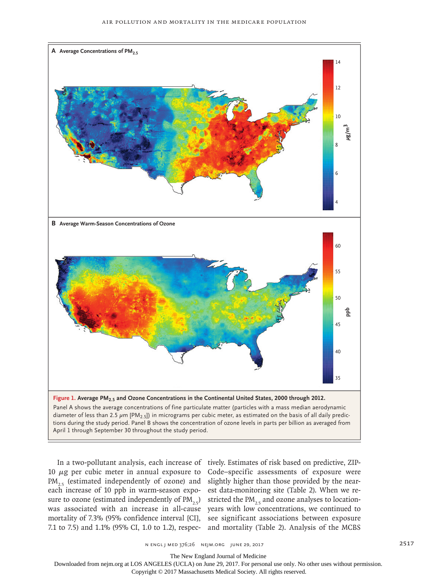

10 μg per cubic meter in annual exposure to Code–specific assessments of exposure were  $PM_{2.5}$  (estimated independently of ozone) and slightly higher than those provided by the neareach increase of 10 ppb in warm-season expo-est data-monitoring site (Table 2). When we resure to ozone (estimated independently of  $PM_{2.5}$ ) stricted the  $PM_{2.5}$  and ozone analyses to locationwas associated with an increase in all-cause years with low concentrations, we continued to mortality of 7.3% (95% confidence interval [CI], see significant associations between exposure 7.1 to 7.5) and 1.1% (95% CI, 1.0 to 1.2), respec-and mortality (Table 2). Analysis of the MCBS

In a two-pollutant analysis, each increase of tively. Estimates of risk based on predictive, ZIP-

n engl j med 376;26 nejm.org June 29, 2017 2517

The New England Journal of Medicine

Downloaded from nejm.org at LOS ANGELES (UCLA) on June 29, 2017. For personal use only. No other uses without permission.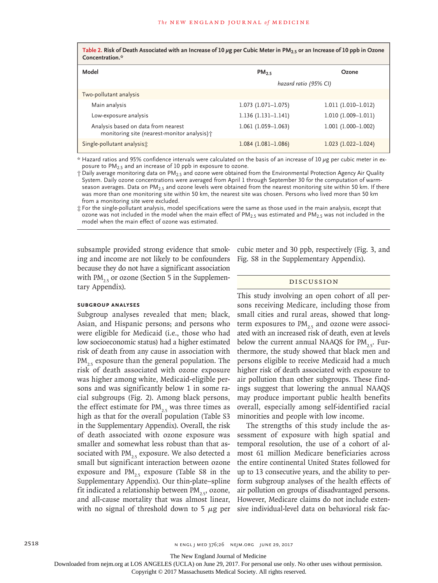**Table 2. Risk of Death Associated with an Increase of 10 μg per Cubic Meter in PM2.5 or an Increase of 10 ppb in Ozone Concentration.\***

| Model                                                                               | PM <sub>25</sub>      | Ozone                 |  |
|-------------------------------------------------------------------------------------|-----------------------|-----------------------|--|
|                                                                                     | hazard ratio (95% CI) |                       |  |
| Two-pollutant analysis                                                              |                       |                       |  |
| Main analysis                                                                       | $1.073$ (1.071-1.075) | $1.011(1.010-1.012)$  |  |
| Low-exposure analysis                                                               | $1.136(1.131-1.141)$  | $1.010(1.009-1.011)$  |  |
| Analysis based on data from nearest<br>monitoring site (nearest-monitor analysis) † | $1.061(1.059-1.063)$  | $1.001(1.000-1.002)$  |  |
| Single-pollutant analysist                                                          | $1.084(1.081-1.086)$  | $1.023$ (1.022-1.024) |  |

 $*$  Hazard ratios and 95% confidence intervals were calculated on the basis of an increase of 10  $\mu$ g per cubic meter in exposure to  $PM<sub>2.5</sub>$  and an increase of 10 ppb in exposure to ozone.

† Daily average monitoring data on PM2.5 and ozone were obtained from the Environmental Protection Agency Air Quality System. Daily ozone concentrations were averaged from April 1 through September 30 for the computation of warmseason averages. Data on  $PM_{2.5}$  and ozone levels were obtained from the nearest monitoring site within 50 km. If there was more than one monitoring site within 50 km, the nearest site was chosen. Persons who lived more than 50 km from a monitoring site were excluded.

‡ For the single-pollutant analysis, model specifications were the same as those used in the main analysis, except that ozone was not included in the model when the main effect of  $PM_{2.5}$  was estimated and  $PM_{2.5}$  was not included in the model when the main effect of ozone was estimated.

subsample provided strong evidence that smoking and income are not likely to be confounders because they do not have a significant association with  $PM_{2.5}$  or ozone (Section 5 in the Supplementary Appendix).

## **Subgroup Analyses**

Subgroup analyses revealed that men; black, Asian, and Hispanic persons; and persons who were eligible for Medicaid (i.e., those who had low socioeconomic status) had a higher estimated risk of death from any cause in association with  $PM_{25}$  exposure than the general population. The risk of death associated with ozone exposure was higher among white, Medicaid-eligible persons and was significantly below 1 in some racial subgroups (Fig. 2). Among black persons, the effect estimate for  $PM_{25}$  was three times as high as that for the overall population (Table S3 in the Supplementary Appendix). Overall, the risk of death associated with ozone exposure was smaller and somewhat less robust than that associated with  $PM_{2.5}$  exposure. We also detected a small but significant interaction between ozone exposure and  $PM_{25}$  exposure (Table S8 in the Supplementary Appendix). Our thin-plate–spline fit indicated a relationship between  $PM_{25}$ , ozone, and all-cause mortality that was almost linear, with no signal of threshold down to 5  $\mu$ g per cubic meter and 30 ppb, respectively (Fig. 3, and Fig. S8 in the Supplementary Appendix).

# Discussion

This study involving an open cohort of all persons receiving Medicare, including those from small cities and rural areas, showed that longterm exposures to  $PM_{25}$  and ozone were associated with an increased risk of death, even at levels below the current annual NAAQS for  $PM_{25}$ . Furthermore, the study showed that black men and persons eligible to receive Medicaid had a much higher risk of death associated with exposure to air pollution than other subgroups. These findings suggest that lowering the annual NAAQS may produce important public health benefits overall, especially among self-identified racial minorities and people with low income.

The strengths of this study include the assessment of exposure with high spatial and temporal resolution, the use of a cohort of almost 61 million Medicare beneficiaries across the entire continental United States followed for up to 13 consecutive years, and the ability to perform subgroup analyses of the health effects of air pollution on groups of disadvantaged persons. However, Medicare claims do not include extensive individual-level data on behavioral risk fac-

The New England Journal of Medicine

Downloaded from nejm.org at LOS ANGELES (UCLA) on June 29, 2017. For personal use only. No other uses without permission.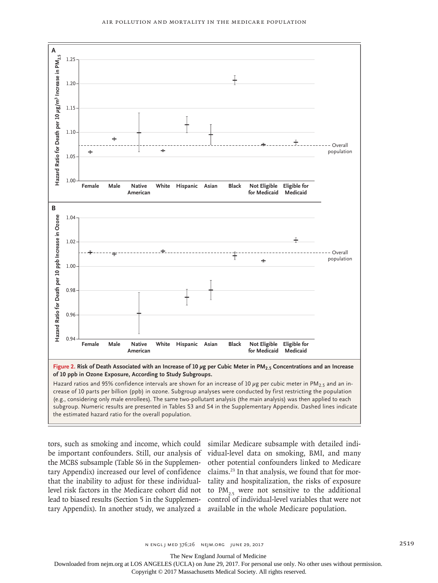

tors, such as smoking and income, which could similar Medicare subsample with detailed indibe important confounders. Still, our analysis of vidual-level data on smoking, BMI, and many the MCBS subsample (Table S6 in the Supplementary Appendix) increased our level of confidence claims.<sup>23</sup> In that analysis, we found that for morthat the inability to adjust for these individual-tality and hospitalization, the risks of exposure level risk factors in the Medicare cohort did not to  $PM_{2.5}$  were not sensitive to the additional lead to biased results (Section 5 in the Supplemen-control of individual-level variables that were not tary Appendix). In another study, we analyzed a available in the whole Medicare population.

other potential confounders linked to Medicare

The New England Journal of Medicine

Downloaded from nejm.org at LOS ANGELES (UCLA) on June 29, 2017. For personal use only. No other uses without permission.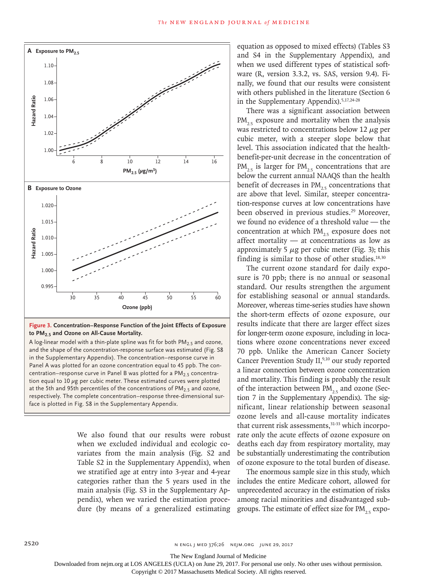

**Figure 3. Concentration–Response Function of the Joint Effects of Exposure to PM2.5 and Ozone on All-Cause Mortality.**

A log-linear model with a thin-plate spline was fit for both  $PM<sub>2.5</sub>$  and ozone, and the shape of the concentration-response surface was estimated (Fig. S8 in the Supplementary Appendix). The concentration–response curve in Panel A was plotted for an ozone concentration equal to 45 ppb. The concentration–response curve in Panel B was plotted for a  $PM<sub>2.5</sub>$  concentration equal to 10  $\mu$ g per cubic meter. These estimated curves were plotted at the 5th and 95th percentiles of the concentrations of  $PM<sub>2.5</sub>$  and ozone, respectively. The complete concentration–response three-dimensional sur-

> We also found that our results were robust when we excluded individual and ecologic covariates from the main analysis (Fig. S2 and Table S2 in the Supplementary Appendix), when we stratified age at entry into 3-year and 4-year categories rather than the 5 years used in the main analysis (Fig. S3 in the Supplementary Appendix), when we varied the estimation procedure (by means of a generalized estimating

equation as opposed to mixed effects) (Tables S3 and S4 in the Supplementary Appendix), and when we used different types of statistical software (R, version 3.3.2, vs. SAS, version 9.4). Finally, we found that our results were consistent with others published in the literature (Section 6 in the Supplementary Appendix).5,17,24-28

There was a significant association between  $PM_{2.5}$  exposure and mortality when the analysis was restricted to concentrations below 12  $\mu$ g per cubic meter, with a steeper slope below that level. This association indicated that the healthbenefit-per-unit decrease in the concentration of  $PM_{2.5}$  is larger for  $PM_{2.5}$  concentrations that are below the current annual NAAQS than the health benefit of decreases in  $PM_{25}$  concentrations that are above that level. Similar, steeper concentration-response curves at low concentrations have been observed in previous studies.<sup>29</sup> Moreover, we found no evidence of a threshold value — the concentration at which  $PM_{2.5}$  exposure does not affect mortality — at concentrations as low as approximately 5  $\mu$ g per cubic meter (Fig. 3); this finding is similar to those of other studies. $18,30$ 

The current ozone standard for daily exposure is 70 ppb; there is no annual or seasonal standard. Our results strengthen the argument for establishing seasonal or annual standards. Moreover, whereas time-series studies have shown the short-term effects of ozone exposure, our results indicate that there are larger effect sizes for longer-term ozone exposure, including in locations where ozone concentrations never exceed 70 ppb. Unlike the American Cancer Society Cancer Prevention Study II,<sup>9,10</sup> our study reported a linear connection between ozone concentration and mortality. This finding is probably the result of the interaction between  $PM_{25}$  and ozone (Section 7 in the Supplementary Appendix). The significant, linear relationship between seasonal ozone levels and all-cause mortality indicates that current risk assessments,<sup>31-33</sup> which incorporate only the acute effects of ozone exposure on deaths each day from respiratory mortality, may be substantially underestimating the contribution of ozone exposure to the total burden of disease.

The enormous sample size in this study, which includes the entire Medicare cohort, allowed for unprecedented accuracy in the estimation of risks among racial minorities and disadvantaged subgroups. The estimate of effect size for  $PM_{2.5}$  expo-

The New England Journal of Medicine

Downloaded from nejm.org at LOS ANGELES (UCLA) on June 29, 2017. For personal use only. No other uses without permission.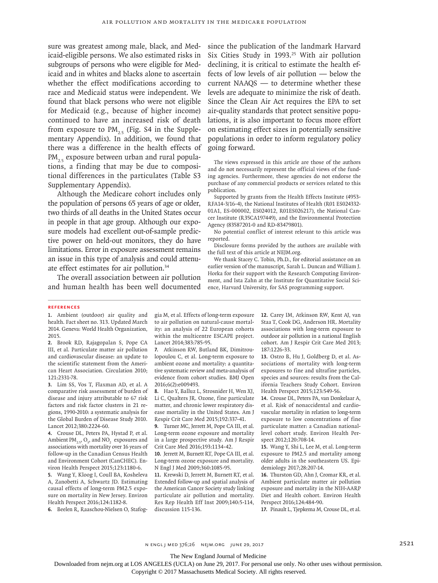sure was greatest among male, black, and Medicaid-eligible persons. We also estimated risks in subgroups of persons who were eligible for Medicaid and in whites and blacks alone to ascertain whether the effect modifications according to race and Medicaid status were independent. We found that black persons who were not eligible for Medicaid (e.g., because of higher income) continued to have an increased risk of death from exposure to  $PM_{2,5}$  (Fig. S4 in the Supplementary Appendix). In addition, we found that there was a difference in the health effects of  $PM_{25}$  exposure between urban and rural populations, a finding that may be due to compositional differences in the particulates (Table S3 Supplementary Appendix).

Although the Medicare cohort includes only the population of persons 65 years of age or older, two thirds of all deaths in the United States occur in people in that age group. Although our exposure models had excellent out-of-sample predictive power on held-out monitors, they do have limitations. Error in exposure assessment remains an issue in this type of analysis and could attenuate effect estimates for air pollution.34

The overall association between air pollution and human health has been well documented since the publication of the landmark Harvard Six Cities Study in 1993.<sup>25</sup> With air pollution declining, it is critical to estimate the health effects of low levels of air pollution — below the current NAAQS — to determine whether these levels are adequate to minimize the risk of death. Since the Clean Air Act requires the EPA to set air-quality standards that protect sensitive populations, it is also important to focus more effort on estimating effect sizes in potentially sensitive populations in order to inform regulatory policy going forward.

The views expressed in this article are those of the authors and do not necessarily represent the official views of the funding agencies. Furthermore, these agencies do not endorse the purchase of any commercial products or services related to this publication.

Supported by grants from the Health Effects Institute (4953- RFA14-3/16-4), the National Institutes of Health (R01 ES024332- 01A1, ES-000002, ES024012, R01ES026217), the National Cancer Institute (R35CA197449), and the Environmental Protection Agency (83587201-0 and RD-83479801).

No potential conflict of interest relevant to this article was reported.

Disclosure forms provided by the authors are available with the full text of this article at NEJM.org.

We thank Stacey C. Tobin, Ph.D., for editorial assistance on an earlier version of the manuscript, Sarah L. Duncan and William J. Horka for their support with the Research Computing Environment, and Ista Zahn at the Institute for Quantitative Social Science, Harvard University, for SAS programming support.

#### **References**

**1.** Ambient (outdoor) air quality and health. Fact sheet no. 313. Updated March 2014. Geneva: World Health Organization, 2015.

**2.** Brook RD, Rajagopalan S, Pope CA III, et al. Particulate matter air pollution and cardiovascular disease: an update to the scientific statement from the American Heart Association. Circulation 2010; 121:2331-78.

**3.** Lim SS, Vos T, Flaxman AD, et al. A comparative risk assessment of burden of disease and injury attributable to 67 risk factors and risk factor clusters in 21 regions, 1990-2010: a systematic analysis for the Global Burden of Disease Study 2010. Lancet 2012;380:2224-60.

**4.** Crouse DL, Peters PA, Hystad P, et al. Ambient  $PM_{2.5}$ ,  $O_3$ , and  $NO_2$  exposures and associations with mortality over 16 years of follow-up in the Canadian Census Health and Environment Cohort (CanCHEC). Environ Health Perspect 2015;123:1180-6.

**5.** Wang Y, Kloog I, Coull BA, Kosheleva A, Zanobetti A, Schwartz JD. Estimating causal effects of long-term PM2.5 exposure on mortality in New Jersey. Environ Health Perspect 2016;124:1182-8.

**6.** Beelen R, Raaschou-Nielsen O, Stafog-

gia M, et al. Effects of long-term exposure to air pollution on natural-cause mortality: an analysis of 22 European cohorts within the multicentre ESCAPE project. Lancet 2014;383:785-95.

**7.** Atkinson RW, Butland BK, Dimitroulopoulou C, et al. Long-term exposure to ambient ozone and mortality: a quantitative systematic review and meta-analysis of evidence from cohort studies. BMJ Open 2016;6(2):e009493.

**8.** Hao Y, Balluz L, Strosnider H, Wen XJ, Li C, Qualters JR. Ozone, fine particulate matter, and chronic lower respiratory disease mortality in the United States. Am J Respir Crit Care Med 2015;192:337-41.

**9.** Turner MC, Jerrett M, Pope CA III, et al. Long-term ozone exposure and mortality in a large prospective study. Am J Respir Crit Care Med 2016;193:1134-42.

**10.** Jerrett M, Burnett RT, Pope CA III, et al. Long-term ozone exposure and mortality. N Engl J Med 2009;360:1085-95.

**11.** Krewski D, Jerrett M, Burnett RT, et al. Extended follow-up and spatial analysis of the American Cancer Society study linking particulate air pollution and mortality. Res Rep Health Eff Inst 2009;140:5-114, discussion 115-136.

**12.** Carey IM, Atkinson RW, Kent AJ, van Staa T, Cook DG, Anderson HR. Mortality associations with long-term exposure to outdoor air pollution in a national English cohort. Am J Respir Crit Care Med 2013; 187:1226-33.

**13.** Ostro B, Hu J, Goldberg D, et al. Associations of mortality with long-term exposures to fine and ultrafine particles, species and sources: results from the California Teachers Study Cohort. Environ Health Perspect 2015;123:549-56.

**14.** Crouse DL, Peters PA, van Donkelaar A, et al. Risk of nonaccidental and cardiovascular mortality in relation to long-term exposure to low concentrations of fine particulate matter: a Canadian nationallevel cohort study. Environ Health Perspect 2012;120:708-14.

**15.** Wang Y, Shi L, Lee M, et al. Long-term exposure to PM2.5 and mortality among older adults in the southeastern US. Epidemiology 2017;28:207-14.

**16.** Thurston GD, Ahn J, Cromar KR, et al. Ambient particulate matter air pollution exposure and mortality in the NIH-AARP Diet and Health cohort. Environ Health Perspect 2016;124:484-90.

**17.** Pinault L, Tjepkema M, Crouse DL, et al.

n engl j med 376;26 nejm.org June 29, 2017 2521

The New England Journal of Medicine

Downloaded from nejm.org at LOS ANGELES (UCLA) on June 29, 2017. For personal use only. No other uses without permission.